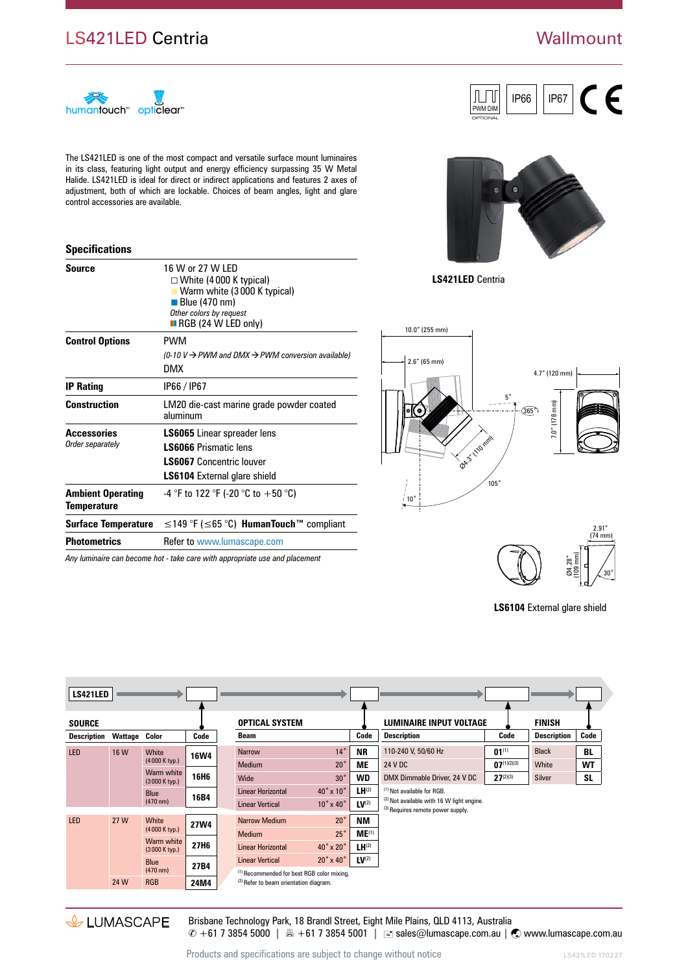## LS421LED Centria

## **Wallmount**



The LS421LED is one of the most compact and versatile surface mount luminaires in its class, featuring light output and energy efficiency surpassing 35 W Metal Halide. LS421LED is ideal for direct or indirect applications and features 2 axes of adjustment, both of which are lockable. Choices of beam angles, light and glare control accessories are available.

## **Specifications**

| <b>Source</b>                                  | 16 W or 27 W LED<br>$\Box$ White (4000 K typical)<br><b>Narm white (3000 K typical)</b><br>$\blacksquare$ Blue (470 nm)<br>Other colors by request<br>$\blacksquare$ RGB (24 W LED only) |  |  |  |  |  |
|------------------------------------------------|------------------------------------------------------------------------------------------------------------------------------------------------------------------------------------------|--|--|--|--|--|
| <b>Control Options</b>                         | <b>PWM</b><br>(0-10 V $\rightarrow$ PWM and DMX $\rightarrow$ PWM conversion available)<br>DMX                                                                                           |  |  |  |  |  |
| <b>IP Rating</b>                               | IP66 / IP67                                                                                                                                                                              |  |  |  |  |  |
| <b>Construction</b>                            | LM20 die-cast marine grade powder coated<br>aluminum                                                                                                                                     |  |  |  |  |  |
| Accessories<br>Order separately                | <b>LS6065</b> Linear spreader lens<br><b>LS6066 Prismatic lens</b><br><b>I S6067</b> Concentric Iouver<br><b>LS6104</b> External glare shield                                            |  |  |  |  |  |
| <b>Ambient Operating</b><br><b>Temperature</b> | -4 °F to 122 °F (-20 °C to +50 °C)                                                                                                                                                       |  |  |  |  |  |
| Surface Temperature                            | $\leq$ 149 °F ( $\leq$ 65 °C) <b>HumanTouch</b> <sup>™</sup> compliant                                                                                                                   |  |  |  |  |  |
| <b>Photometrics</b>                            | Refer to www.lumascape.com                                                                                                                                                               |  |  |  |  |  |
|                                                |                                                                                                                                                                                          |  |  |  |  |  |

*Any luminaire can become hot - take care with appropriate use and placement*



IP66 | | IP67

**LS421LED** Centria

PWM DIM OPTIONAL

ſЛ





**LS6104** External glare shield

| <b>LS421LED</b> |         |                                   |                  |                       |                                                       |                            |                                |                                                                                |                  |                    |           |  |
|-----------------|---------|-----------------------------------|------------------|-----------------------|-------------------------------------------------------|----------------------------|--------------------------------|--------------------------------------------------------------------------------|------------------|--------------------|-----------|--|
| <b>SOURCE</b>   |         |                                   |                  | <b>OPTICAL SYSTEM</b> |                                                       |                            | <b>LUMINAIRE INPUT VOLTAGE</b> |                                                                                | <b>FINISH</b>    |                    |           |  |
| Description     | Wattage | Color                             | Code             |                       | <b>Beam</b>                                           |                            | Code                           | <b>Description</b>                                                             | Code             | <b>Description</b> | Code      |  |
| <b>LED</b>      | 16 W    | White                             | <b>16W4</b>      |                       | <b>Narrow</b>                                         | $14^{\circ}$               | <b>NR</b>                      | 110-240 V, 50/60 Hz                                                            | $01^{(1)}$       | <b>Black</b>       | <b>BL</b> |  |
|                 |         | (4000 K typ.)                     |                  |                       | <b>Medium</b>                                         | $20^{\circ}$               | <b>ME</b>                      | 24 V DC                                                                        | $07^{(1)(2)(3)}$ | White              | <b>WT</b> |  |
|                 |         | Warm white<br>(3000 K typ.)       | 16H <sub>6</sub> |                       | Wide                                                  | $30^\circ$                 | <b>WD</b>                      | DMX Dimmable Driver, 24 V DC                                                   | $27^{(2)(3)}$    | <b>Silver</b>      | <b>SL</b> |  |
|                 |         | <b>Blue</b>                       | 16B4             |                       | <b>Linear Horizontal</b>                              | $40^\circ \times 10^\circ$ | $LH^{(2)}$                     | (1) Not available for RGB.                                                     |                  |                    |           |  |
|                 |         | $(470 \text{ nm})$                |                  |                       | <b>Linear Vertical</b>                                | $10^\circ \times 40^\circ$ | $LV^{(2)}$                     | (2) Not available with 16 W light engine.<br>(3) Requires remote power supply. |                  |                    |           |  |
| <b>LED</b>      | 27 W    | White                             | <b>27W4</b>      |                       | <b>Narrow Medium</b>                                  | $20^{\circ}$               | <b>NM</b>                      |                                                                                |                  |                    |           |  |
|                 |         | (4000 K typ.)                     |                  |                       | <b>Medium</b>                                         | $25^\circ$                 | ME <sup>(1)</sup>              |                                                                                |                  |                    |           |  |
|                 |         | Warm white<br>(3000 K typ.)       | 27H <sub>6</sub> |                       | <b>Linear Horizontal</b>                              | 40° x 20°                  | $LH^{(2)}$                     |                                                                                |                  |                    |           |  |
|                 |         | <b>Blue</b><br>$(470 \text{ nm})$ | 27B4             |                       | <b>Linear Vertical</b>                                | $20^\circ \times 40^\circ$ | $LV^{(2)}$                     |                                                                                |                  |                    |           |  |
|                 |         |                                   |                  |                       | <sup>(1)</sup> Recommended for best RGB color mixing. |                            |                                |                                                                                |                  |                    |           |  |
|                 | 24 W    | <b>RGB</b>                        | 24M4             |                       | <sup>(2)</sup> Refer to beam orientation diagram.     |                            |                                |                                                                                |                  |                    |           |  |

& LUMASCAPE

Brisbane Technology Park, 18 Brandl Street, Eight Mile Plains, QLD 4113, Australia  $\degree$  +61 7 3854 5000 |  $\text{B}$  +61 7 3854 5001 |  $\text{C}$  sales@lumascape.com.au |  $\text{C}$  www.lumascape.com.au